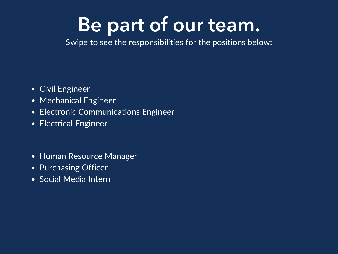# **Be part of our team.**

Swipe to see the responsibilities for the positions below:

- Civil Engineer
- Mechanical Engineer
- Electronic Communications Engineer
- Electrical Engineer
- Human Resource Manager
- Purchasing Officer
- Social Media Intern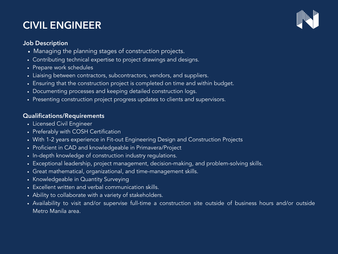# **CIVIL ENGINEER**



#### **Job Description**

- Managing the planning stages of construction projects.
- Contributing technical expertise to project drawings and designs.
- Prepare work schedules
- Liaising between contractors, subcontractors, vendors, and suppliers.
- Ensuring that the construction project is completed on time and within budget.
- Documenting processes and keeping detailed construction logs.
- Presenting construction project progress updates to clients and supervisors.

### **Qualifications/Requirements**

- Licensed Civil Engineer
- Preferably with COSH Certification
- With 1-2 years experience in Fit-out Engineering Design and Construction Projects
- Proficient in CAD and knowledgeable in Primavera/Project
- In-depth knowledge of construction industry regulations.
- Exceptional leadership, project management, decision-making, and problem-solving skills.
- Great mathematical, organizational, and time-management skills.
- Knowledgeable in Quantity Surveying
- Excellent written and verbal communication skills.
- Ability to collaborate with a variety of stakeholders.
- Availability to visit and/or supervise full-time a construction site outside of business hours and/or outside Metro Manila area.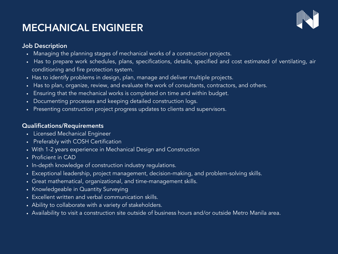# **MECHANICAL ENGINEER**



#### **Job Description**

- Managing the planning stages of mechanical works of a construction projects.
- Has to prepare work schedules, plans, specifications, details, specified and cost estimated of ventilating, air conditioning and fire protection system.
- Has to identify problems in design, plan, manage and deliver multiple projects.
- Has to plan, organize, review, and evaluate the work of consultants, contractors, and others.
- Ensuring that the mechanical works is completed on time and within budget.
- Documenting processes and keeping detailed construction logs.
- Presenting construction project progress updates to clients and supervisors.

#### **Qualifications/Requirements**

- Licensed Mechanical Engineer
- Preferably with COSH Certification
- With 1-2 years experience in Mechanical Design and Construction
- Proficient in CAD
- In-depth knowledge of construction industry regulations.
- Exceptional leadership, project management, decision-making, and problem-solving skills.
- Great mathematical, organizational, and time-management skills.
- Knowledgeable in Quantity Surveying
- Excellent written and verbal communication skills.
- Ability to collaborate with a variety of stakeholders.
- Availability to visit a construction site outside of business hours and/or outside Metro Manila area.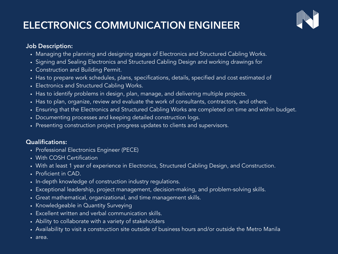# **ELECTRONICS COMMUNICATION ENGINEER**



#### **Job Description:**

- Managing the planning and designing stages of Electronics and Structured Cabling Works.
- Signing and Sealing Electronics and Structured Cabling Design and working drawings for
- Construction and Building Permit.
- Has to prepare work schedules, plans, specifications, details, specified and cost estimated of
- Electronics and Structured Cabling Works.
- Has to identify problems in design, plan, manage, and delivering multiple projects.
- Has to plan, organize, review and evaluate the work of consultants, contractors, and others.
- Ensuring that the Electronics and Structured Cabling Works are completed on time and within budget.
- Documenting processes and keeping detailed construction logs.
- Presenting construction project progress updates to clients and supervisors.

### **Qualifications:**

- Professional Electronics Engineer (PECE)
- With COSH Certification
- With at least 1 year of experience in Electronics, Structured Cabling Design, and Construction.
- Proficient in CAD.
- In-depth knowledge of construction industry regulations.
- Exceptional leadership, project management, decision-making, and problem-solving skills.
- Great mathematical, organizational, and time management skills.
- Knowledgeable in Quantity Surveying
- Excellent written and verbal communication skills.
- Ability to collaborate with a variety of stakeholders
- Availability to visit a construction site outside of business hours and/or outside the Metro Manila
- area.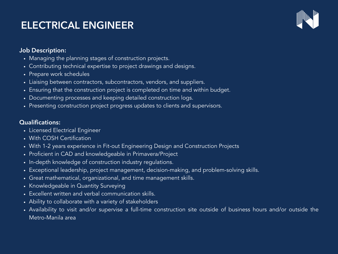# **ELECTRICAL ENGINEER**



#### **Job Description:**

- Managing the planning stages of construction projects.
- Contributing technical expertise to project drawings and designs.
- Prepare work schedules
- Liaising between contractors, subcontractors, vendors, and suppliers.
- Ensuring that the construction project is completed on time and within budget.
- Documenting processes and keeping detailed construction logs.
- Presenting construction project progress updates to clients and supervisors.

#### **Qualifications:**

- Licensed Electrical Engineer
- With COSH Certification
- With 1-2 years experience in Fit-out Engineering Design and Construction Projects
- Proficient in CAD and knowledgeable in Primavera/Project
- In-depth knowledge of construction industry regulations.
- Exceptional leadership, project management, decision-making, and problem-solving skills.
- Great mathematical, organizational, and time management skills.
- Knowledgeable in Quantity Surveying
- Excellent written and verbal communication skills.
- Ability to collaborate with a variety of stakeholders
- Availability to visit and/or supervise a full-time construction site outside of business hours and/or outside the Metro-Manila area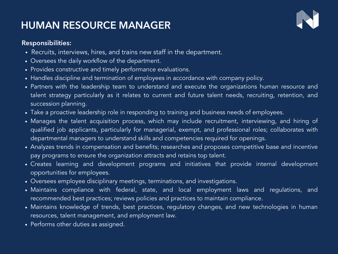# **HUMAN RESOURCE MANAGER**



### **Responsibilities:**

- Recruits, interviews, hires, and trains new staff in the department.
- Oversees the daily workflow of the department.
- Provides constructive and timely performance evaluations.
- Handles discipline and termination of employees in accordance with company policy.
- Partners with the leadership team to understand and execute the organizations human resource and talent strategy particularly as it relates to current and future talent needs, recruiting, retention, and succession planning.
- Take a proactive leadership role in responding to training and business needs of employees.
- Manages the talent acquisition process, which may include recruitment, interviewing, and hiring of qualified job applicants, particularly for managerial, exempt, and professional roles; collaborates with departmental managers to understand skills and competencies required for openings.
- Analyzes trends in compensation and benefits; researches and proposes competitive base and incentive pay programs to ensure the organization attracts and retains top talent.
- Creates learning and development programs and initiatives that provide internal development opportunities for employees.
- Oversees employee disciplinary meetings, terminations, and investigations.
- Maintains compliance with federal, state, and local employment laws and regulations, and recommended best practices; reviews policies and practices to maintain compliance.
- Maintains knowledge of trends, best practices, regulatory changes, and new technologies in human resources, talent management, and employment law.
- Performs other duties as assigned.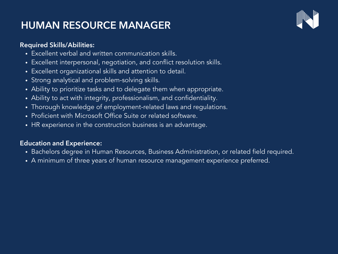# **HUMAN RESOURCE MANAGER**



### **Required Skills/Abilities:**

- Excellent verbal and written communication skills.
- Excellent interpersonal, negotiation, and conflict resolution skills.
- Excellent organizational skills and attention to detail.
- Strong analytical and problem-solving skills.
- Ability to prioritize tasks and to delegate them when appropriate.
- Ability to act with integrity, professionalism, and confidentiality.
- Thorough knowledge of employment-related laws and regulations.
- Proficient with Microsoft Office Suite or related software.
- HR experience in the construction business is an advantage.

## **Education and Experience:**

- Bachelors degree in Human Resources, Business Administration, or related field required.
- A minimum of three years of human resource management experience preferred.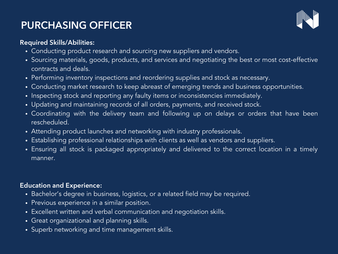# **PURCHASING OFFICER**



### **Required Skills/Abilities:**

- Conducting product research and sourcing new suppliers and vendors.
- Sourcing materials, goods, products, and services and negotiating the best or most cost-effective contracts and deals.
- Performing inventory inspections and reordering supplies and stock as necessary.
- Conducting market research to keep abreast of emerging trends and business opportunities.
- Inspecting stock and reporting any faulty items or inconsistencies immediately.
- Updating and maintaining records of all orders, payments, and received stock.
- Coordinating with the delivery team and following up on delays or orders that have been **rescheduled**
- Attending product launches and networking with industry professionals.
- Establishing professional relationships with clients as well as vendors and suppliers.
- Ensuring all stock is packaged appropriately and delivered to the correct location in a timely manner.

### **Education and Experience:**

- Bachelor's degree in business, logistics, or a related field may be required.
- Previous experience in a similar position.
- Excellent written and verbal communication and negotiation skills.
- Great organizational and planning skills.
- Superb networking and time management skills.